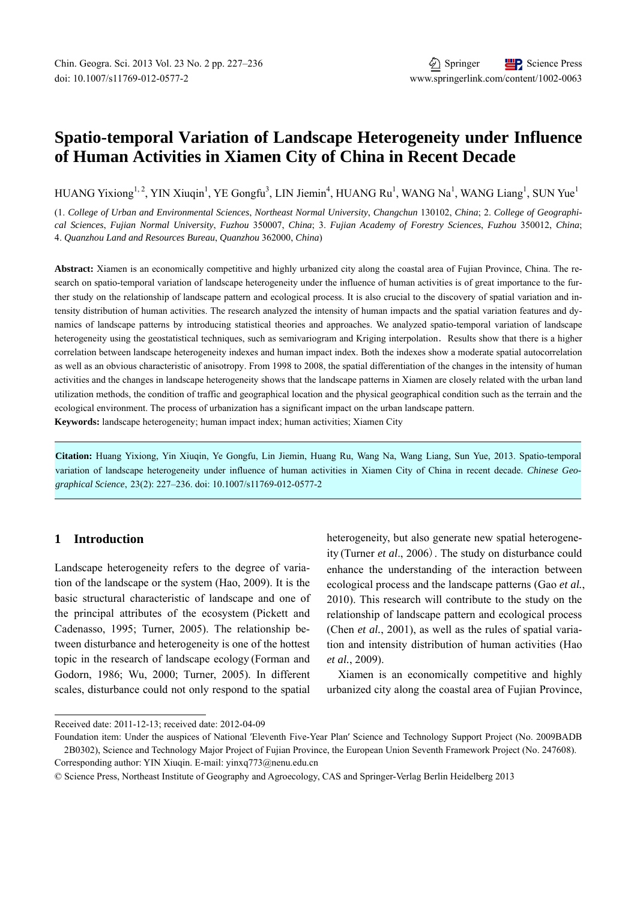# **Spatio-temporal Variation of Landscape Heterogeneity under Influence of Human Activities in Xiamen City of China in Recent Decade**

HUANG Yixiong<sup>1, 2</sup>, YIN Xiuqin<sup>1</sup>, YE Gongfu<sup>3</sup>, LIN Jiemin<sup>4</sup>, HUANG Ru<sup>1</sup>, WANG Na<sup>1</sup>, WANG Liang<sup>1</sup>, SUN Yue<sup>1</sup>

(1. *College of Urban and Environmental Sciences*, *Northeast Normal University*, *Changchun* 130102, *China*; 2. *College of Geographical Sciences*, *Fujian Normal University*, *Fuzhou* 350007, *China*; 3. *Fujian Academy of Forestry Sciences*, *Fuzhou* 350012, *China*; 4. *Quanzhou Land and Resources Bureau*, *Quanzhou* 362000, *China*)

**Abstract:** Xiamen is an economically competitive and highly urbanized city along the coastal area of Fujian Province, China. The research on spatio-temporal variation of landscape heterogeneity under the influence of human activities is of great importance to the further study on the relationship of landscape pattern and ecological process. It is also crucial to the discovery of spatial variation and intensity distribution of human activities. The research analyzed the intensity of human impacts and the spatial variation features and dynamics of landscape patterns by introducing statistical theories and approaches. We analyzed spatio-temporal variation of landscape heterogeneity using the geostatistical techniques, such as semivariogram and Kriging interpolation. Results show that there is a higher correlation between landscape heterogeneity indexes and human impact index. Both the indexes show a moderate spatial autocorrelation as well as an obvious characteristic of anisotropy. From 1998 to 2008, the spatial differentiation of the changes in the intensity of human activities and the changes in landscape heterogeneity shows that the landscape patterns in Xiamen are closely related with the urban land utilization methods, the condition of traffic and geographical location and the physical geographical condition such as the terrain and the ecological environment. The process of urbanization has a significant impact on the urban landscape pattern. **Keywords:** landscape heterogeneity; human impact index; human activities; Xiamen City

**Citation:** Huang Yixiong, Yin Xiuqin, Ye Gongfu, Lin Jiemin, Huang Ru, Wang Na, Wang Liang, Sun Yue, 2013. Spatio-temporal variation of landscape heterogeneity under influence of human activities in Xiamen City of China in recent decade. *Chinese Geographical Science*, 23(2): 227–236. doi: 10.1007/s11769-012-0577-2

## **1 Introduction**

l

Landscape heterogeneity refers to the degree of variation of the landscape or the system (Hao, 2009). It is the basic structural characteristic of landscape and one of the principal attributes of the ecosystem (Pickett and Cadenasso, 1995; Turner, 2005). The relationship between disturbance and heterogeneity is one of the hottest topic in the research of landscape ecology (Forman and Godorn, 1986; Wu, 2000; Turner, 2005). In different scales, disturbance could not only respond to the spatial heterogeneity, but also generate new spatial heterogeneity (Turner *et al*., 2006). The study on disturbance could enhance the understanding of the interaction between ecological process and the landscape patterns (Gao *et al.*, 2010). This research will contribute to the study on the relationship of landscape pattern and ecological process (Chen *et al.*, 2001), as well as the rules of spatial variation and intensity distribution of human activities (Hao *et al.*, 2009).

Xiamen is an economically competitive and highly urbanized city along the coastal area of Fujian Province,

Received date: 2011-12-13; received date: 2012-04-09

Foundation item: Under the auspices of National ′Eleventh Five-Year Plan′ Science and Technology Support Project (No. 2009BADB 2B0302), Science and Technology Major Project of Fujian Province, the European Union Seventh Framework Project (No. 247608). Corresponding author: YIN Xiuqin. E-mail: yinxq773@nenu.edu.cn

<sup>©</sup> Science Press, Northeast Institute of Geography and Agroecology, CAS and Springer-Verlag Berlin Heidelberg 2013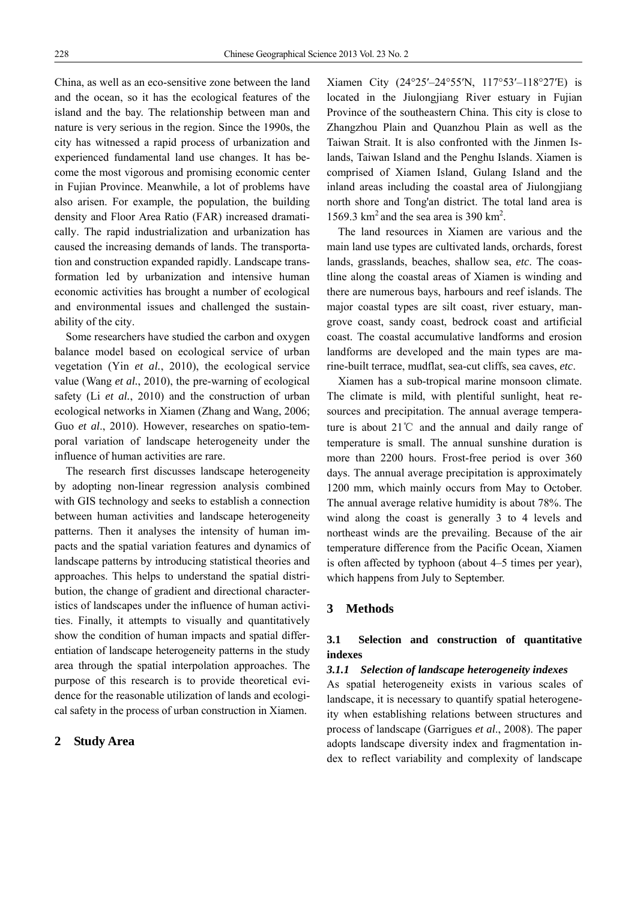China, as well as an eco-sensitive zone between the land and the ocean, so it has the ecological features of the island and the bay. The relationship between man and nature is very serious in the region. Since the 1990s, the city has witnessed a rapid process of urbanization and experienced fundamental land use changes. It has become the most vigorous and promising economic center in Fujian Province. Meanwhile, a lot of problems have also arisen. For example, the population, the building density and Floor Area Ratio (FAR) increased dramatically. The rapid industrialization and urbanization has caused the increasing demands of lands. The transportation and construction expanded rapidly. Landscape transformation led by urbanization and intensive human economic activities has brought a number of ecological and environmental issues and challenged the sustainability of the city.

Some researchers have studied the carbon and oxygen balance model based on ecological service of urban vegetation (Yin *et al.*, 2010), the ecological service value (Wang *et al.*, 2010), the pre-warning of ecological safety (Li *et al.*, 2010) and the construction of urban ecological networks in Xiamen (Zhang and Wang, 2006; Guo *et al*., 2010). However, researches on spatio-temporal variation of landscape heterogeneity under the influence of human activities are rare.

The research first discusses landscape heterogeneity by adopting non-linear regression analysis combined with GIS technology and seeks to establish a connection between human activities and landscape heterogeneity patterns. Then it analyses the intensity of human impacts and the spatial variation features and dynamics of landscape patterns by introducing statistical theories and approaches. This helps to understand the spatial distribution, the change of gradient and directional characteristics of landscapes under the influence of human activities. Finally, it attempts to visually and quantitatively show the condition of human impacts and spatial differentiation of landscape heterogeneity patterns in the study area through the spatial interpolation approaches. The purpose of this research is to provide theoretical evidence for the reasonable utilization of lands and ecological safety in the process of urban construction in Xiamen.

## **2 Study Area**

Xiamen City (24°25′–24°55′N, 117°53′–118°27′E) is located in the Jiulongjiang River estuary in Fujian Province of the southeastern China. This city is close to Zhangzhou Plain and Quanzhou Plain as well as the Taiwan Strait. It is also confronted with the Jinmen Islands, Taiwan Island and the Penghu Islands. Xiamen is comprised of Xiamen Island, Gulang Island and the inland areas including the coastal area of Jiulongjiang north shore and Tong'an district. The total land area is 1569.3  $km<sup>2</sup>$  and the sea area is 390  $km<sup>2</sup>$ .

The land resources in Xiamen are various and the main land use types are cultivated lands, orchards, forest lands, grasslands, beaches, shallow sea, *etc*. The coastline along the coastal areas of Xiamen is winding and there are numerous bays, harbours and reef islands. The major coastal types are silt coast, river estuary, mangrove coast, sandy coast, bedrock coast and artificial coast. The coastal accumulative landforms and erosion landforms are developed and the main types are marine-built terrace, mudflat, sea-cut cliffs, sea caves, *etc*.

Xiamen has a sub-tropical marine monsoon climate. The climate is mild, with plentiful sunlight, heat resources and precipitation. The annual average temperature is about 21℃ and the annual and daily range of temperature is small. The annual sunshine duration is more than 2200 hours. Frost-free period is over 360 days. The annual average precipitation is approximately 1200 mm, which mainly occurs from May to October. The annual average relative humidity is about 78%. The wind along the coast is generally 3 to 4 levels and northeast winds are the prevailing. Because of the air temperature difference from the Pacific Ocean, Xiamen is often affected by typhoon (about 4–5 times per year), which happens from July to September.

## **3 Methods**

## **3.1 Selection and construction of quantitative indexes**

#### *3.1.1 Selection of landscape heterogeneity indexes*

As spatial heterogeneity exists in various scales of landscape, it is necessary to quantify spatial heterogeneity when establishing relations between structures and process of landscape (Garrigues *et al*., 2008). The paper adopts landscape diversity index and fragmentation index to reflect variability and complexity of landscape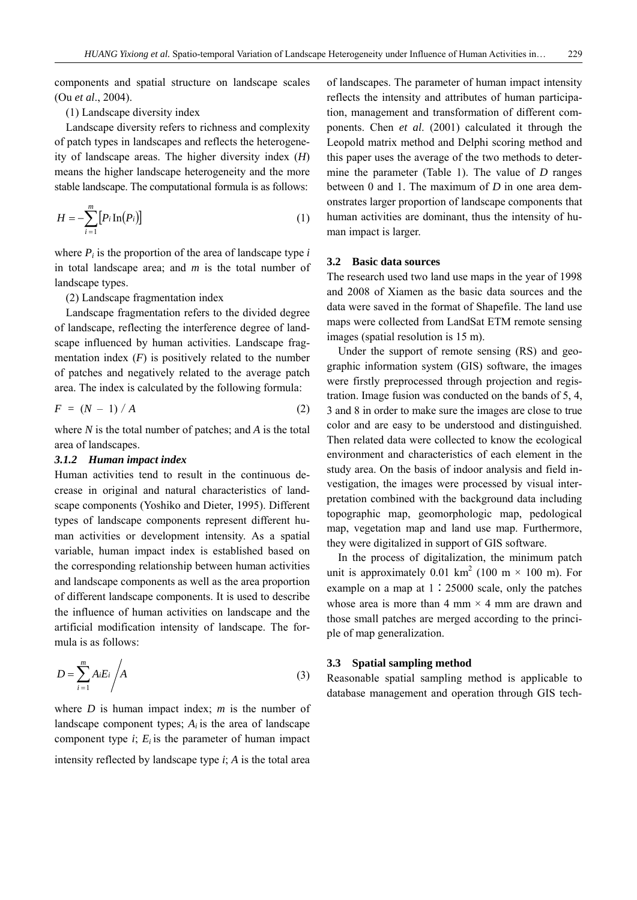components and spatial structure on landscape scales (Ou *et al*., 2004).

#### (1) Landscape diversity index

Landscape diversity refers to richness and complexity of patch types in landscapes and reflects the heterogeneity of landscape areas. The higher diversity index (*H*) means the higher landscape heterogeneity and the more stable landscape. The computational formula is as follows:

$$
H = -\sum_{i=1}^{m} \left[ P_i \ln(P_i) \right] \tag{1}
$$

where  $P_i$  is the proportion of the area of landscape type  $i$ in total landscape area; and *m* is the total number of landscape types.

(2) Landscape fragmentation index

Landscape fragmentation refers to the divided degree of landscape, reflecting the interference degree of landscape influenced by human activities. Landscape fragmentation index  $(F)$  is positively related to the number of patches and negatively related to the average patch area. The index is calculated by the following formula:

$$
F = (N-1) / A \tag{2}
$$

where *N* is the total number of patches; and *A* is the total area of landscapes.

#### *3.1.2 Human impact index*

Human activities tend to result in the continuous decrease in original and natural characteristics of landscape components (Yoshiko and Dieter, 1995). Different types of landscape components represent different human activities or development intensity. As a spatial variable, human impact index is established based on the corresponding relationship between human activities and landscape components as well as the area proportion of different landscape components. It is used to describe the influence of human activities on landscape and the artificial modification intensity of landscape. The formula is as follows:

$$
D = \sum_{i=1}^{m} A_i E_i \bigg/ A
$$
 (3)

where *D* is human impact index; *m* is the number of landscape component types;  $A_i$  is the area of landscape component type  $i$ ;  $E_i$  is the parameter of human impact intensity reflected by landscape type *i*; *A* is the total area

of landscapes. The parameter of human impact intensity reflects the intensity and attributes of human participation, management and transformation of different components. Chen *et al*. (2001) calculated it through the Leopold matrix method and Delphi scoring method and this paper uses the average of the two methods to determine the parameter (Table 1). The value of *D* ranges between 0 and 1. The maximum of *D* in one area demonstrates larger proportion of landscape components that human activities are dominant, thus the intensity of human impact is larger.

#### **3.2 Basic data sources**

The research used two land use maps in the year of 1998 and 2008 of Xiamen as the basic data sources and the data were saved in the format of Shapefile. The land use maps were collected from LandSat ETM remote sensing images (spatial resolution is 15 m).

Under the support of remote sensing (RS) and geographic information system (GIS) software, the images were firstly preprocessed through projection and registration. Image fusion was conducted on the bands of 5, 4, 3 and 8 in order to make sure the images are close to true color and are easy to be understood and distinguished. Then related data were collected to know the ecological environment and characteristics of each element in the study area. On the basis of indoor analysis and field investigation, the images were processed by visual interpretation combined with the background data including topographic map, geomorphologic map, pedological map, vegetation map and land use map. Furthermore, they were digitalized in support of GIS software.

In the process of digitalization, the minimum patch unit is approximately 0.01 km<sup>2</sup> (100 m  $\times$  100 m). For example on a map at 1∶25000 scale, only the patches whose area is more than 4 mm  $\times$  4 mm are drawn and those small patches are merged according to the principle of map generalization.

#### **3.3 Spatial sampling method**

Reasonable spatial sampling method is applicable to database management and operation through GIS tech-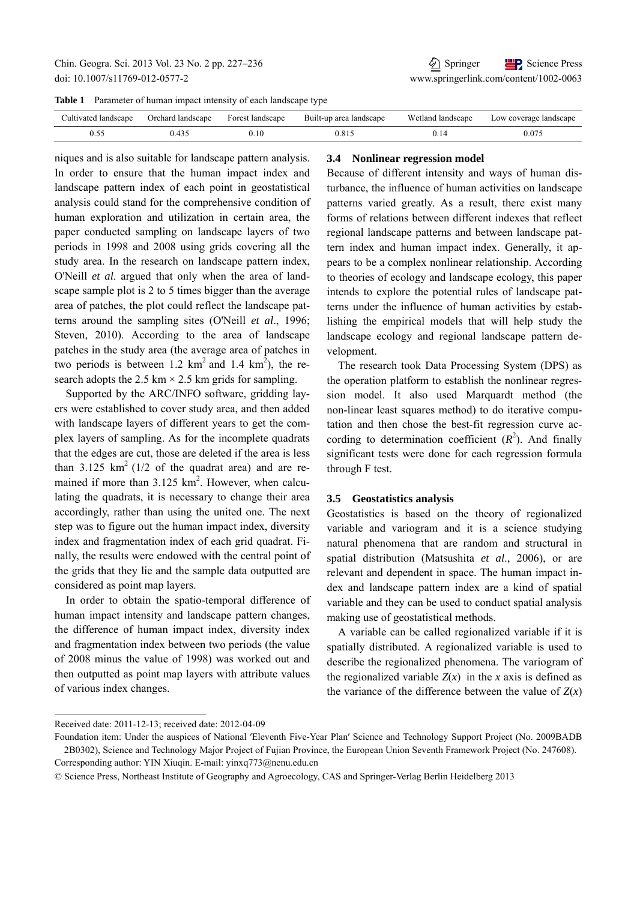Chin. Geogra. Sci. 2013 Vol. 23 No. 2 pp. 227–236  $\circ$   $\circ$  Springer  $\circ$  Springer Science Press doi: 10.1007/s11769-012-0577-2 www.springerlink.com/content/1002-0063

Table 1 Parameter of human impact intensity of each landscape type

| ∟ultivated landscape | Orchard landscape   | landscane<br>Forest | landscape<br>Built-up<br>o area | Wetland<br>. landscape | coverage landscape<br>$_{\rm{.0W}}$ |
|----------------------|---------------------|---------------------|---------------------------------|------------------------|-------------------------------------|
| ∪.JJ                 | J. <del>4</del> J.J | 7.10<br>.           | $\Omega$<br>0.01.               |                        | 0.075                               |

niques and is also suitable for landscape pattern analysis. In order to ensure that the human impact index and landscape pattern index of each point in geostatistical analysis could stand for the comprehensive condition of human exploration and utilization in certain area, the paper conducted sampling on landscape layers of two periods in 1998 and 2008 using grids covering all the study area. In the research on landscape pattern index, O'Neill *et al*. argued that only when the area of landscape sample plot is 2 to 5 times bigger than the average area of patches, the plot could reflect the landscape patterns around the sampling sites (O'Neill *et al*., 1996; Steven, 2010). According to the area of landscape patches in the study area (the average area of patches in two periods is between 1.2  $km^2$  and 1.4  $km^2$ ), the research adopts the 2.5 km  $\times$  2.5 km grids for sampling.

Supported by the ARC/INFO software, gridding layers were established to cover study area, and then added with landscape layers of different years to get the complex layers of sampling. As for the incomplete quadrats that the edges are cut, those are deleted if the area is less than 3.125  $km^2$  (1/2 of the quadrat area) and are remained if more than  $3.125 \text{ km}^2$ . However, when calculating the quadrats, it is necessary to change their area accordingly, rather than using the united one. The next step was to figure out the human impact index, diversity index and fragmentation index of each grid quadrat. Finally, the results were endowed with the central point of the grids that they lie and the sample data outputted are considered as point map layers.

In order to obtain the spatio-temporal difference of human impact intensity and landscape pattern changes, the difference of human impact index, diversity index and fragmentation index between two periods (the value of 2008 minus the value of 1998) was worked out and then outputted as point map layers with attribute values of various index changes.

#### **3.4 Nonlinear regression model**

Because of different intensity and ways of human disturbance, the influence of human activities on landscape patterns varied greatly. As a result, there exist many forms of relations between different indexes that reflect regional landscape patterns and between landscape pattern index and human impact index. Generally, it appears to be a complex nonlinear relationship. According to theories of ecology and landscape ecology, this paper intends to explore the potential rules of landscape patterns under the influence of human activities by establishing the empirical models that will help study the landscape ecology and regional landscape pattern development.

The research took Data Processing System (DPS) as the operation platform to establish the nonlinear regression model. It also used Marquardt method (the non-linear least squares method) to do iterative computation and then chose the best-fit regression curve according to determination coefficient  $(R^2)$ . And finally significant tests were done for each regression formula through F test.

#### **3.5 Geostatistics analysis**

Geostatistics is based on the theory of regionalized variable and variogram and it is a science studying natural phenomena that are random and structural in spatial distribution (Matsushita *et al*., 2006), or are relevant and dependent in space. The human impact index and landscape pattern index are a kind of spatial variable and they can be used to conduct spatial analysis making use of geostatistical methods.

A variable can be called regionalized variable if it is spatially distributed. A regionalized variable is used to describe the regionalized phenomena. The variogram of the regionalized variable  $Z(x)$  in the *x* axis is defined as the variance of the difference between the value of  $Z(x)$ 

l

Received date: 2011-12-13; received date: 2012-04-09

Foundation item: Under the auspices of National ′Eleventh Five-Year Plan′ Science and Technology Support Project (No. 2009BADB 2B0302), Science and Technology Major Project of Fujian Province, the European Union Seventh Framework Project (No. 247608). Corresponding author: YIN Xiuqin. E-mail: yinxq773@nenu.edu.cn

<sup>©</sup> Science Press, Northeast Institute of Geography and Agroecology, CAS and Springer-Verlag Berlin Heidelberg 2013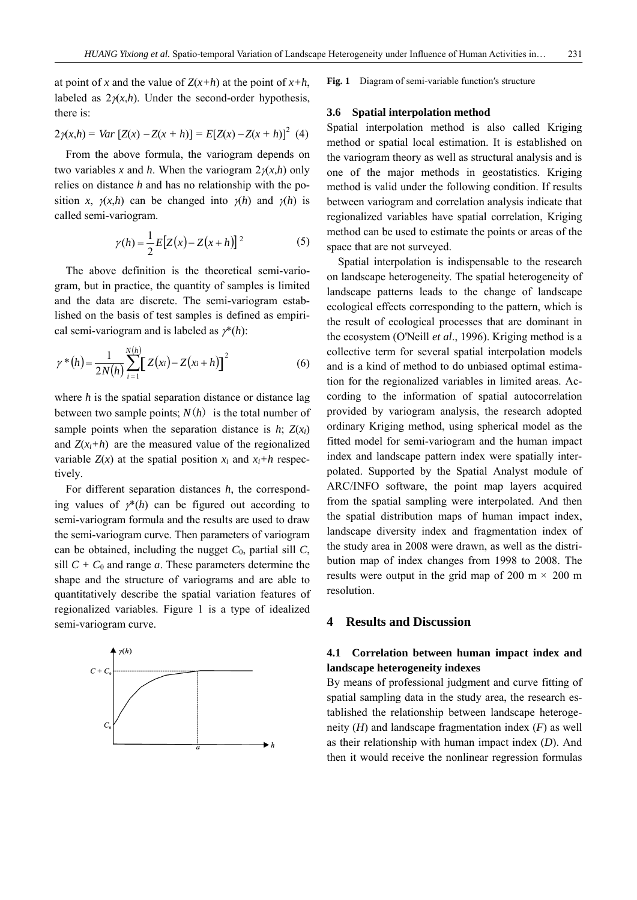at point of *x* and the value of  $Z(x+h)$  at the point of  $x+h$ , labeled as  $2\chi(x,h)$ . Under the second-order hypothesis, there is:

$$
2\chi(x,h) = Var \left[ Z(x) - Z(x+h) \right] = E[Z(x) - Z(x+h)]^2 \tag{4}
$$

From the above formula, the variogram depends on two variables *x* and *h*. When the variogram  $2\chi(x,h)$  only relies on distance *h* and has no relationship with the position *x*,  $\chi(x,h)$  can be changed into  $\chi(h)$  and  $\chi(h)$  is called semi-variogram.

$$
\gamma(h) = \frac{1}{2} E[Z(x) - Z(x+h)]^2
$$
 (5)

The above definition is the theoretical semi-variogram, but in practice, the quantity of samples is limited and the data are discrete. The semi-variogram established on the basis of test samples is defined as empirical semi-variogram and is labeled as  $\gamma^*(h)$ :

$$
\gamma^*(h) = \frac{1}{2N(h)} \sum_{i=1}^{N(h)} \left[ Z(x_i) - Z(x_i + h) \right]^2 \tag{6}
$$

where *h* is the spatial separation distance or distance lag between two sample points;  $N(h)$  is the total number of sample points when the separation distance is  $h$ ;  $Z(x_i)$ and  $Z(x_i+h)$  are the measured value of the regionalized variable  $Z(x)$  at the spatial position  $x_i$  and  $x_i+h$  respectively.

For different separation distances *h*, the corresponding values of  $\gamma^*(h)$  can be figured out according to semi-variogram formula and the results are used to draw the semi-variogram curve. Then parameters of variogram can be obtained, including the nugget  $C_0$ , partial sill  $C$ , sill  $C + C_0$  and range *a*. These parameters determine the shape and the structure of variograms and are able to quantitatively describe the spatial variation features of regionalized variables. Figure 1 is a type of idealized semi-variogram curve.



**Fig. 1** Diagram of semi-variable function′s structure

#### **3.6 Spatial interpolation method**

Spatial interpolation method is also called Kriging method or spatial local estimation. It is established on the variogram theory as well as structural analysis and is one of the major methods in geostatistics. Kriging method is valid under the following condition. If results between variogram and correlation analysis indicate that regionalized variables have spatial correlation, Kriging method can be used to estimate the points or areas of the space that are not surveyed.

Spatial interpolation is indispensable to the research on landscape heterogeneity. The spatial heterogeneity of landscape patterns leads to the change of landscape ecological effects corresponding to the pattern, which is the result of ecological processes that are dominant in the ecosystem (O'Neill *et al*., 1996). Kriging method is a collective term for several spatial interpolation models and is a kind of method to do unbiased optimal estimation for the regionalized variables in limited areas. According to the information of spatial autocorrelation provided by variogram analysis, the research adopted ordinary Kriging method, using spherical model as the fitted model for semi-variogram and the human impact index and landscape pattern index were spatially interpolated. Supported by the Spatial Analyst module of ARC/INFO software, the point map layers acquired from the spatial sampling were interpolated. And then the spatial distribution maps of human impact index, landscape diversity index and fragmentation index of the study area in 2008 were drawn, as well as the distribution map of index changes from 1998 to 2008. The results were output in the grid map of 200 m  $\times$  200 m resolution.

#### **4 Results and Discussion**

## **4.1 Correlation between human impact index and landscape heterogeneity indexes**

By means of professional judgment and curve fitting of spatial sampling data in the study area, the research established the relationship between landscape heterogeneity (*H*) and landscape fragmentation index (*F*) as well as their relationship with human impact index (*D*). And then it would receive the nonlinear regression formulas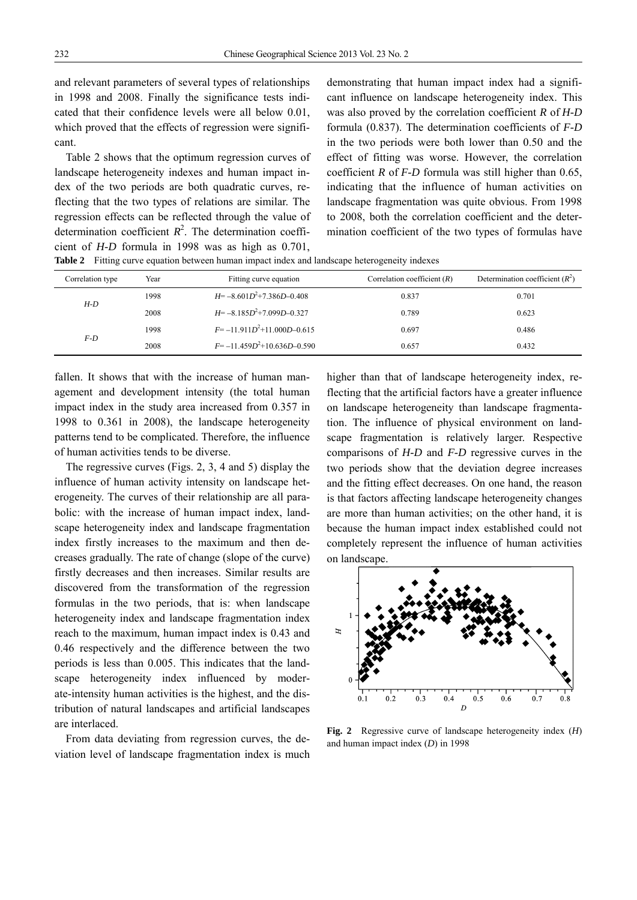and relevant parameters of several types of relationships in 1998 and 2008. Finally the significance tests indicated that their confidence levels were all below 0.01, which proved that the effects of regression were significant.

Table 2 shows that the optimum regression curves of landscape heterogeneity indexes and human impact index of the two periods are both quadratic curves, reflecting that the two types of relations are similar. The regression effects can be reflected through the value of determination coefficient  $R^2$ . The determination coefficient of *H-D* formula in 1998 was as high as 0.701,

demonstrating that human impact index had a significant influence on landscape heterogeneity index. This was also proved by the correlation coefficient *R* of *H-D* formula (0.837). The determination coefficients of *F-D* in the two periods were both lower than 0.50 and the effect of fitting was worse. However, the correlation coefficient *R* of *F-D* formula was still higher than 0.65, indicating that the influence of human activities on landscape fragmentation was quite obvious. From 1998 to 2008, both the correlation coefficient and the determination coefficient of the two types of formulas have

**Table 2** Fitting curve equation between human impact index and landscape heterogeneity indexes

| Correlation type | Year | Fitting curve equation             | Correlation coefficient $(R)$ | Determination coefficient $(R^2)$ |
|------------------|------|------------------------------------|-------------------------------|-----------------------------------|
| $H-D$            | 1998 | $H = -8.601D^2 + 7.386D - 0.408$   | 0.837                         | 0.701                             |
|                  | 2008 | $H = -8.185D^2 + 7.099D - 0.327$   | 0.789                         | 0.623                             |
| $F-D$            | 1998 | $F = -11.911D^2 + 11.000D - 0.615$ | 0.697                         | 0.486                             |
|                  | 2008 | $F = -11.459D^2 + 10.636D - 0.590$ | 0.657                         | 0.432                             |

fallen. It shows that with the increase of human management and development intensity (the total human impact index in the study area increased from 0.357 in 1998 to 0.361 in 2008), the landscape heterogeneity patterns tend to be complicated. Therefore, the influence of human activities tends to be diverse.

The regressive curves (Figs. 2, 3, 4 and 5) display the influence of human activity intensity on landscape heterogeneity. The curves of their relationship are all parabolic: with the increase of human impact index, landscape heterogeneity index and landscape fragmentation index firstly increases to the maximum and then decreases gradually. The rate of change (slope of the curve) firstly decreases and then increases. Similar results are discovered from the transformation of the regression formulas in the two periods, that is: when landscape heterogeneity index and landscape fragmentation index reach to the maximum, human impact index is 0.43 and 0.46 respectively and the difference between the two periods is less than 0.005. This indicates that the landscape heterogeneity index influenced by moderate-intensity human activities is the highest, and the distribution of natural landscapes and artificial landscapes are interlaced.

From data deviating from regression curves, the deviation level of landscape fragmentation index is much higher than that of landscape heterogeneity index, reflecting that the artificial factors have a greater influence on landscape heterogeneity than landscape fragmentation. The influence of physical environment on landscape fragmentation is relatively larger. Respective comparisons of *H-D* and *F-D* regressive curves in the two periods show that the deviation degree increases and the fitting effect decreases. On one hand, the reason is that factors affecting landscape heterogeneity changes are more than human activities; on the other hand, it is because the human impact index established could not completely represent the influence of human activities on landscape.



**Fig. 2** Regressive curve of landscape heterogeneity index (*H*) and human impact index (*D*) in 1998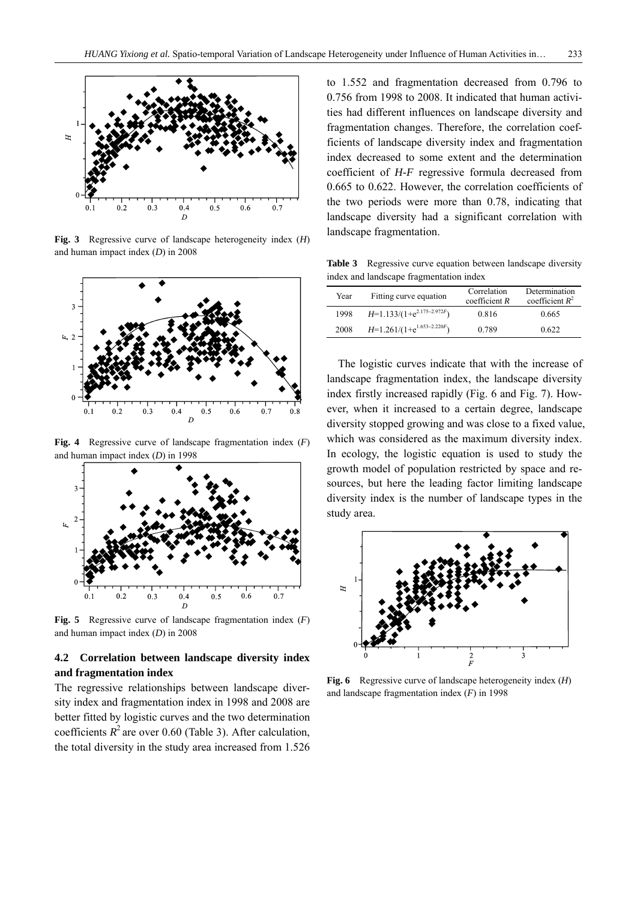

**Fig. 3** Regressive curve of landscape heterogeneity index (*H*) and human impact index (*D*) in 2008



**Fig. 4** Regressive curve of landscape fragmentation index (*F*) and human impact index (*D*) in 1998



**Fig. 5** Regressive curve of landscape fragmentation index (*F*) and human impact index (*D*) in 2008

#### **4.2 Correlation between landscape diversity index and fragmentation index**

The regressive relationships between landscape diversity index and fragmentation index in 1998 and 2008 are better fitted by logistic curves and the two determination coefficients  $R^2$  are over 0.60 (Table 3). After calculation, the total diversity in the study area increased from 1.526 to 1.552 and fragmentation decreased from 0.796 to 0.756 from 1998 to 2008. It indicated that human activities had different influences on landscape diversity and fragmentation changes. Therefore, the correlation coefficients of landscape diversity index and fragmentation index decreased to some extent and the determination coefficient of *H-F* regressive formula decreased from 0.665 to 0.622. However, the correlation coefficients of the two periods were more than 0.78, indicating that landscape diversity had a significant correlation with landscape fragmentation.

Table 3 Regressive curve equation between landscape diversity index and landscape fragmentation index

| Year | Fitting curve equation         | Correlation<br>coefficient $R$ | Determination<br>coefficient $R^2$ |
|------|--------------------------------|--------------------------------|------------------------------------|
| 1998 | $H=1.133/(1+e^{2.175-2.972F})$ | 0.816                          | 0.665                              |
| 2008 | $H=1.261/(1+e^{1.653-2.220F})$ | 0.789                          | 0.622                              |
|      |                                |                                |                                    |

The logistic curves indicate that with the increase of landscape fragmentation index, the landscape diversity index firstly increased rapidly (Fig. 6 and Fig. 7). However, when it increased to a certain degree, landscape diversity stopped growing and was close to a fixed value, which was considered as the maximum diversity index. In ecology, the logistic equation is used to study the growth model of population restricted by space and resources, but here the leading factor limiting landscape diversity index is the number of landscape types in the study area.



**Fig. 6** Regressive curve of landscape heterogeneity index (*H*) and landscape fragmentation index (*F*) in 1998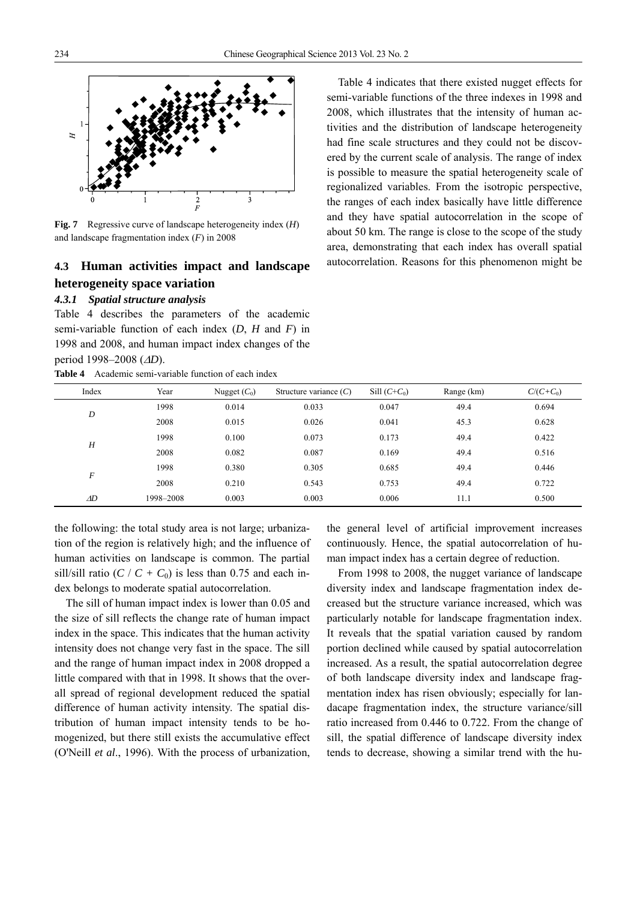

**Fig. 7** Regressive curve of landscape heterogeneity index (*H*) and landscape fragmentation index (*F*) in 2008

## **4.3 Human activities impact and landscape heterogeneity space variation**

#### *4.3.1 Spatial structure analysis*

Table 4 describes the parameters of the academic semi-variable function of each index (*D*, *H* and *F*) in 1998 and 2008, and human impact index changes of the period 1998–2008 (Δ*D*).

**Table 4** Academic semi-variable function of each index

Table 4 indicates that there existed nugget effects for semi-variable functions of the three indexes in 1998 and 2008, which illustrates that the intensity of human activities and the distribution of landscape heterogeneity had fine scale structures and they could not be discovered by the current scale of analysis. The range of index is possible to measure the spatial heterogeneity scale of regionalized variables. From the isotropic perspective, the ranges of each index basically have little difference and they have spatial autocorrelation in the scope of about 50 km. The range is close to the scope of the study area, demonstrating that each index has overall spatial autocorrelation. Reasons for this phenomenon might be

| Index            | Year      | Nugget $(C_0)$ | Structure variance $(C)$ | Sill $(C+C_0)$ | Range (km) | $C/(C+C_0)$ |
|------------------|-----------|----------------|--------------------------|----------------|------------|-------------|
| $\boldsymbol{D}$ | 1998      | 0.014          | 0.033                    | 0.047          | 49.4       | 0.694       |
|                  | 2008      | 0.015          | 0.026                    | 0.041          | 45.3       | 0.628       |
| H                | 1998      | 0.100          | 0.073                    | 0.173          | 49.4       | 0.422       |
|                  | 2008      | 0.082          | 0.087                    | 0.169          | 49.4       | 0.516       |
| F                | 1998      | 0.380          | 0.305                    | 0.685          | 49.4       | 0.446       |
|                  | 2008      | 0.210          | 0.543                    | 0.753          | 49.4       | 0.722       |
| $\Delta D$       | 1998-2008 | 0.003          | 0.003                    | 0.006          | 11.1       | 0.500       |

the following: the total study area is not large; urbanization of the region is relatively high; and the influence of human activities on landscape is common. The partial sill/sill ratio  $(C / C + C_0)$  is less than 0.75 and each index belongs to moderate spatial autocorrelation.

The sill of human impact index is lower than 0.05 and the size of sill reflects the change rate of human impact index in the space. This indicates that the human activity intensity does not change very fast in the space. The sill and the range of human impact index in 2008 dropped a little compared with that in 1998. It shows that the overall spread of regional development reduced the spatial difference of human activity intensity. The spatial distribution of human impact intensity tends to be homogenized, but there still exists the accumulative effect (O'Neill *et al*., 1996). With the process of urbanization,

the general level of artificial improvement increases continuously. Hence, the spatial autocorrelation of human impact index has a certain degree of reduction.

From 1998 to 2008, the nugget variance of landscape diversity index and landscape fragmentation index decreased but the structure variance increased, which was particularly notable for landscape fragmentation index. It reveals that the spatial variation caused by random portion declined while caused by spatial autocorrelation increased. As a result, the spatial autocorrelation degree of both landscape diversity index and landscape fragmentation index has risen obviously; especially for landacape fragmentation index, the structure variance/sill ratio increased from 0.446 to 0.722. From the change of sill, the spatial difference of landscape diversity index tends to decrease, showing a similar trend with the hu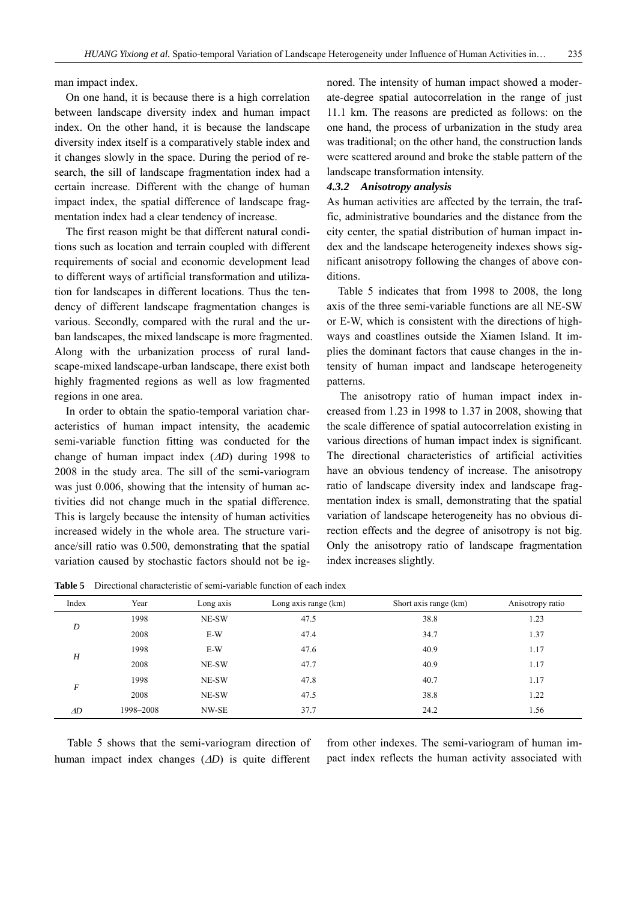man impact index.

On one hand, it is because there is a high correlation between landscape diversity index and human impact index. On the other hand, it is because the landscape diversity index itself is a comparatively stable index and it changes slowly in the space. During the period of research, the sill of landscape fragmentation index had a certain increase. Different with the change of human impact index, the spatial difference of landscape fragmentation index had a clear tendency of increase.

The first reason might be that different natural conditions such as location and terrain coupled with different requirements of social and economic development lead to different ways of artificial transformation and utilization for landscapes in different locations. Thus the tendency of different landscape fragmentation changes is various. Secondly, compared with the rural and the urban landscapes, the mixed landscape is more fragmented. Along with the urbanization process of rural landscape-mixed landscape-urban landscape, there exist both highly fragmented regions as well as low fragmented regions in one area.

In order to obtain the spatio-temporal variation characteristics of human impact intensity, the academic semi-variable function fitting was conducted for the change of human impact index (Δ*D*) during 1998 to 2008 in the study area. The sill of the semi-variogram was just 0.006, showing that the intensity of human activities did not change much in the spatial difference. This is largely because the intensity of human activities increased widely in the whole area. The structure variance/sill ratio was 0.500, demonstrating that the spatial variation caused by stochastic factors should not be ignored. The intensity of human impact showed a moderate-degree spatial autocorrelation in the range of just 11.1 km. The reasons are predicted as follows: on the one hand, the process of urbanization in the study area was traditional; on the other hand, the construction lands were scattered around and broke the stable pattern of the landscape transformation intensity.

#### *4.3.2 Anisotropy analysis*

As human activities are affected by the terrain, the traffic, administrative boundaries and the distance from the city center, the spatial distribution of human impact index and the landscape heterogeneity indexes shows significant anisotropy following the changes of above conditions.

Table 5 indicates that from 1998 to 2008, the long axis of the three semi-variable functions are all NE-SW or E-W, which is consistent with the directions of highways and coastlines outside the Xiamen Island. It implies the dominant factors that cause changes in the intensity of human impact and landscape heterogeneity patterns.

The anisotropy ratio of human impact index increased from 1.23 in 1998 to 1.37 in 2008, showing that the scale difference of spatial autocorrelation existing in various directions of human impact index is significant. The directional characteristics of artificial activities have an obvious tendency of increase. The anisotropy ratio of landscape diversity index and landscape fragmentation index is small, demonstrating that the spatial variation of landscape heterogeneity has no obvious direction effects and the degree of anisotropy is not big. Only the anisotropy ratio of landscape fragmentation index increases slightly.

**Table 5** Directional characteristic of semi-variable function of each index

| Index      | Year      | Long axis | Long axis range (km) | Short axis range (km) | Anisotropy ratio |
|------------|-----------|-----------|----------------------|-----------------------|------------------|
| D          | 1998      | NE-SW     | 47.5                 | 38.8                  | 1.23             |
|            | 2008      | $E-W$     | 47.4                 | 34.7                  | 1.37             |
| H          | 1998      | $E-W$     | 47.6                 | 40.9                  | 1.17             |
|            | 2008      | NE-SW     | 47.7                 | 40.9                  | 1.17             |
| F          | 1998      | NE-SW     | 47.8                 | 40.7                  | 1.17             |
|            | 2008      | NE-SW     | 47.5                 | 38.8                  | 1.22             |
| $\Delta D$ | 1998-2008 | NW-SE     | 37.7                 | 24.2                  | 1.56             |

Table 5 shows that the semi-variogram direction of human impact index changes (Δ*D*) is quite different from other indexes. The semi-variogram of human impact index reflects the human activity associated with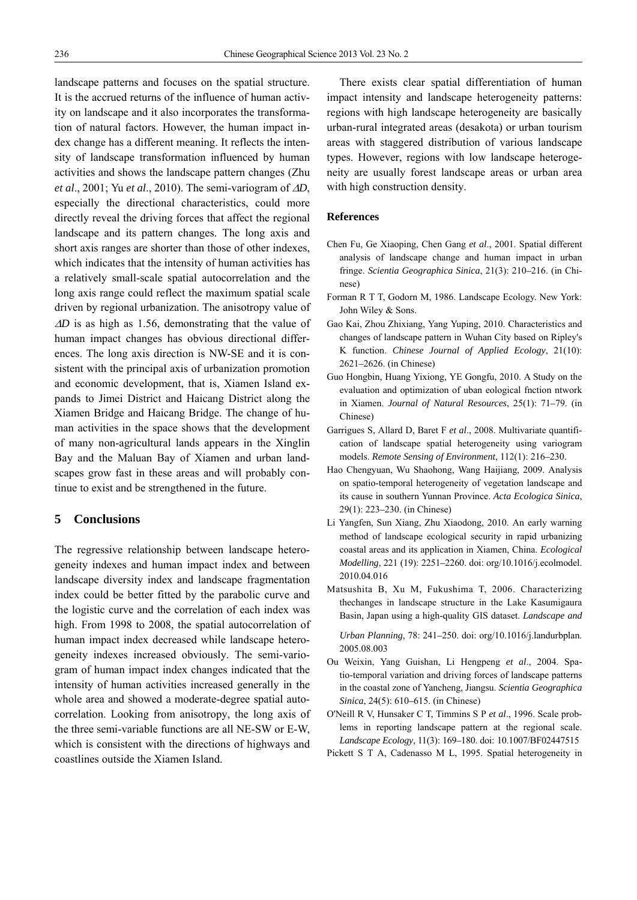landscape patterns and focuses on the spatial structure. It is the accrued returns of the influence of human activity on landscape and it also incorporates the transformation of natural factors. However, the human impact index change has a different meaning. It reflects the intensity of landscape transformation influenced by human activities and shows the landscape pattern changes (Zhu *et al*., 2001; Yu *et al*., 2010). The semi-variogram of Δ*D*, especially the directional characteristics, could more directly reveal the driving forces that affect the regional landscape and its pattern changes. The long axis and short axis ranges are shorter than those of other indexes, which indicates that the intensity of human activities has a relatively small-scale spatial autocorrelation and the long axis range could reflect the maximum spatial scale driven by regional urbanization. The anisotropy value of <sup>Δ</sup>*D* is as high as 1.56, demonstrating that the value of human impact changes has obvious directional differences. The long axis direction is NW-SE and it is consistent with the principal axis of urbanization promotion and economic development, that is, Xiamen Island expands to Jimei District and Haicang District along the Xiamen Bridge and Haicang Bridge. The change of human activities in the space shows that the development of many non-agricultural lands appears in the Xinglin Bay and the Maluan Bay of Xiamen and urban landscapes grow fast in these areas and will probably continue to exist and be strengthened in the future.

#### **5 Conclusions**

The regressive relationship between landscape heterogeneity indexes and human impact index and between landscape diversity index and landscape fragmentation index could be better fitted by the parabolic curve and the logistic curve and the correlation of each index was high. From 1998 to 2008, the spatial autocorrelation of human impact index decreased while landscape heterogeneity indexes increased obviously. The semi-variogram of human impact index changes indicated that the intensity of human activities increased generally in the whole area and showed a moderate-degree spatial autocorrelation. Looking from anisotropy, the long axis of the three semi-variable functions are all NE-SW or E-W, which is consistent with the directions of highways and coastlines outside the Xiamen Island.

There exists clear spatial differentiation of human impact intensity and landscape heterogeneity patterns: regions with high landscape heterogeneity are basically urban-rural integrated areas (desakota) or urban tourism areas with staggered distribution of various landscape types. However, regions with low landscape heterogeneity are usually forest landscape areas or urban area with high construction density.

#### **References**

- Chen Fu, Ge Xiaoping, Chen Gang *et al*., 2001. Spatial different analysis of landscape change and human impact in urban fringe. *Scientia Geographica Sinica*, 21(3): 210*–*216. (in Chinese)
- Forman R T T, Godorn M, 1986. Landscape Ecology. New York: John Wiley & Sons.
- Gao Kai, Zhou Zhixiang, Yang Yuping, 2010. Characteristics and changes of landscape pattern in Wuhan City based on Ripley's K function. *Chinese Journal of Applied Ecology*, 21(10): 2621*–*2626. (in Chinese)
- Guo Hongbin, Huang Yixiong, YE Gongfu, 2010. A Study on the evaluation and optimization of uban eological fnction ntwork in Xiamen. *Journal of Natural Resources*, 25(1): 71*–*79. (in Chinese)
- Garrigues S, Allard D, Baret F *et al*., 2008. Multivariate quantification of landscape spatial heterogeneity using variogram models. *Remote Sensing of Environment*, 112(1): 216*–*230.
- Hao Chengyuan, Wu Shaohong, Wang Haijiang, 2009. Analysis on spatio-temporal heterogeneity of vegetation landscape and its cause in southern Yunnan Province. *Acta Ecologica Sinica*, 29(1): 223*–*230. (in Chinese)
- Li Yangfen, Sun Xiang, Zhu Xiaodong, 2010. An early warning method of landscape ecological security in rapid urbanizing coastal areas and its application in Xiamen, China. *Ecological Modelling*, 221 (19): 2251*–*2260. doi: org/10.1016/j.ecolmodel. 2010.04.016
- Matsushita B, Xu M, Fukushima T, 2006. Characterizing thechanges in landscape structure in the Lake Kasumigaura Basin, Japan using a high-quality GIS dataset. *Landscape and*

*Urban Planning*, 78: 241*–*250. doi: org/10.1016/j.landurbplan. 2005.08.003

- Ou Weixin, Yang Guishan, Li Hengpeng *et al*., 2004. Spatio-temporal variation and driving forces of landscape patterns in the coastal zone of Yancheng, Jiangsu. *Scientia Geographica Sinica*, 24(5): 610*–*615. (in Chinese)
- O'Neill R V, Hunsaker C T, Timmins S P *et al*., 1996. Scale problems in reporting landscape pattern at the regional scale. *Landscape Ecology*, 11(3): 169*–*180. doi: 10.1007/BF02447515
- Pickett S T A, Cadenasso M L, 1995. Spatial heterogeneity in